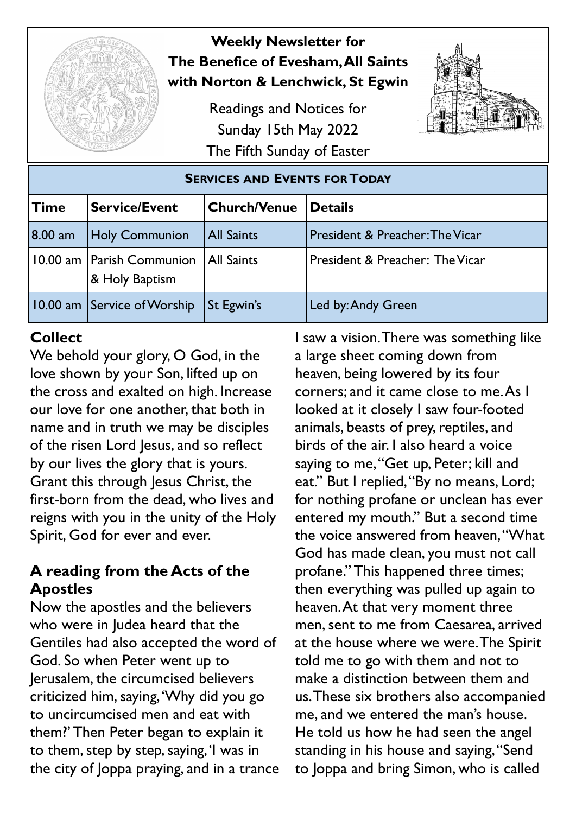

# **Weekly Newsletter for The Benefice of Evesham, All Saints with Norton & Lenchwick, St Egwin**

Readings and Notices for Sunday 15th May 2022 The Fifth Sunday of Easter



| <b>SERVICES AND EVENTS FOR TODAY</b> |                                             |                     |                                            |  |  |
|--------------------------------------|---------------------------------------------|---------------------|--------------------------------------------|--|--|
| lTime                                | <b>Service/Event</b>                        | <b>Church/Venue</b> | <b>Details</b>                             |  |  |
| 8.00 am                              | <b>Holy Communion</b>                       | <b>All Saints</b>   | <b>President &amp; Preacher: The Vicar</b> |  |  |
|                                      | 10.00 am Parish Communion<br>& Holy Baptism | <b>All Saints</b>   | President & Preacher: The Vicar            |  |  |
|                                      | 10.00 am Service of Worship                 | <b>St Egwin's</b>   | Led by: Andy Green                         |  |  |

## **Collect**

We behold your glory, O God, in the love shown by your Son, lifted up on the cross and exalted on high. Increase our love for one another, that both in name and in truth we may be disciples of the risen Lord Jesus, and so reflect by our lives the glory that is yours. Grant this through Jesus Christ, the first-born from the dead, who lives and reigns with you in the unity of the Holy Spirit, God for ever and ever.

### **A reading from the Acts of the Apostles**

Now the apostles and the believers who were in Judea heard that the Gentiles had also accepted the word of God. So when Peter went up to Jerusalem, the circumcised believers criticized him, saying, 'Why did you go to uncircumcised men and eat with them?' Then Peter began to explain it to them, step by step, saying, 'I was in the city of Joppa praying, and in a trance I saw a vision. There was something like a large sheet coming down from heaven, being lowered by its four corners; and it came close to me. As I looked at it closely I saw four-footed animals, beasts of prey, reptiles, and birds of the air. I also heard a voice saying to me, "Get up, Peter; kill and eat." But I replied, "By no means, Lord; for nothing profane or unclean has ever entered my mouth." But a second time the voice answered from heaven, "What God has made clean, you must not call profane." This happened three times; then everything was pulled up again to heaven. At that very moment three men, sent to me from Caesarea, arrived at the house where we were. The Spirit told me to go with them and not to make a distinction between them and us. These six brothers also accompanied me, and we entered the man's house. He told us how he had seen the angel standing in his house and saying, "Send to Joppa and bring Simon, who is called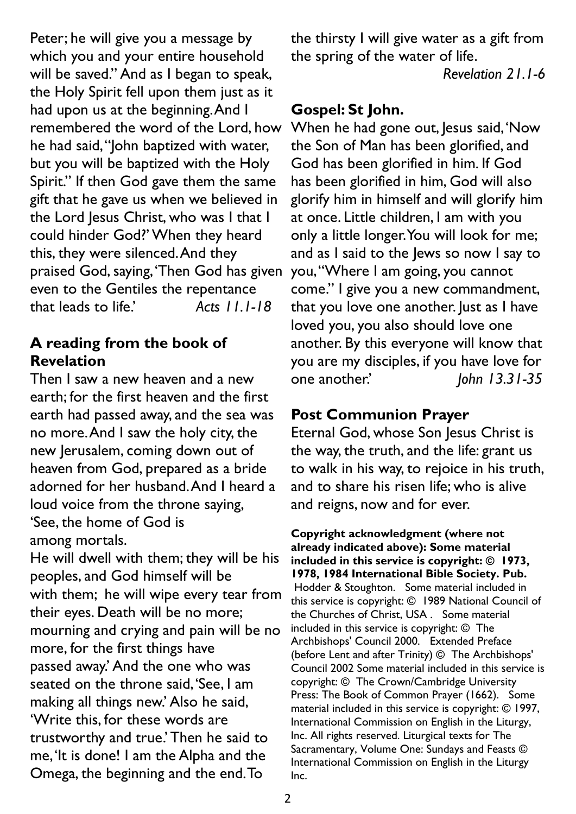Peter; he will give you a message by which you and your entire household will be saved." And as I began to speak, the Holy Spirit fell upon them just as it had upon us at the beginning. And I remembered the word of the Lord, how he had said, "John baptized with water, but you will be baptized with the Holy Spirit." If then God gave them the same gift that he gave us when we believed in the Lord Jesus Christ, who was I that I could hinder God?' When they heard this, they were silenced. And they praised God, saying, 'Then God has given even to the Gentiles the repentance that leads to life.' *Acts 11.1-18* 

#### **A reading from the book of Revelation**

Then I saw a new heaven and a new earth; for the first heaven and the first earth had passed away, and the sea was no more. And I saw the holy city, the new Jerusalem, coming down out of heaven from God, prepared as a bride adorned for her husband. And I heard a loud voice from the throne saying, 'See, the home of God is among mortals.

He will dwell with them; they will be his peoples, and God himself will be with them; he will wipe every tear from their eyes. Death will be no more; mourning and crying and pain will be no more, for the first things have passed away.' And the one who was seated on the throne said, 'See, I am making all things new.' Also he said, 'Write this, for these words are trustworthy and true.' Then he said to me, 'It is done! I am the Alpha and the Omega, the beginning and the end. To

the thirsty I will give water as a gift from the spring of the water of life.

*Revelation 21.1-6* 

#### **Gospel: St John.**

When he had gone out, Jesus said, 'Now the Son of Man has been glorified, and God has been glorified in him. If God has been glorified in him, God will also glorify him in himself and will glorify him at once. Little children, I am with you only a little longer. You will look for me; and as I said to the Jews so now I say to you, "Where I am going, you cannot come." I give you a new commandment, that you love one another. Just as I have loved you, you also should love one another. By this everyone will know that you are my disciples, if you have love for one another.' *John 13.31-35* 

### **Post Communion Prayer**

Eternal God, whose Son Jesus Christ is the way, the truth, and the life: grant us to walk in his way, to rejoice in his truth, and to share his risen life; who is alive and reigns, now and for ever.

**Copyright acknowledgment (where not already indicated above): Some material included in this service is copyright: © 1973, 1978, 1984 International Bible Society. Pub.** Hodder & Stoughton. Some material included in this service is copyright: © 1989 National Council of the Churches of Christ, USA . Some material included in this service is copyright: © The Archbishops' Council 2000. Extended Preface (before Lent and after Trinity) © The Archbishops' Council 2002 Some material included in this service is copyright: © The Crown/Cambridge University Press: The Book of Common Prayer (1662). Some material included in this service is copyright: © 1997, International Commission on English in the Liturgy, Inc. All rights reserved. Liturgical texts for The Sacramentary, Volume One: Sundays and Feasts © International Commission on English in the Liturgy Inc.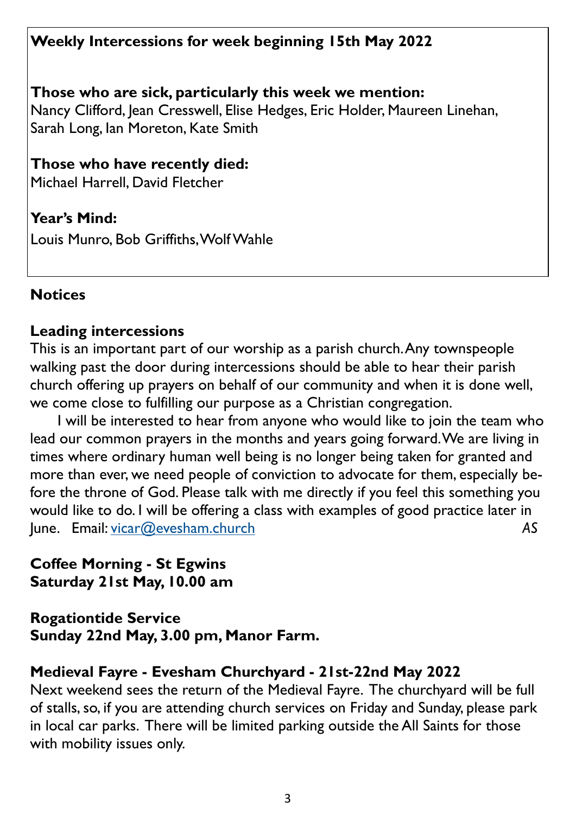### **Weekly Intercessions for week beginning 15th May 2022**

### **Those who are sick, particularly this week we mention:**

Nancy Clifford, Jean Cresswell, Elise Hedges, Eric Holder, Maureen Linehan, Sarah Long, Ian Moreton, Kate Smith

#### **Those who have recently died:**

Michael Harrell, David Fletcher

#### **Year's Mind:**

Louis Munro, Bob Griffiths, Wolf Wahle

#### **Notices**

### **Leading intercessions**

This is an important part of our worship as a parish church. Any townspeople walking past the door during intercessions should be able to hear their parish church offering up prayers on behalf of our community and when it is done well, we come close to fulfilling our purpose as a Christian congregation.

I will be interested to hear from anyone who would like to join the team who lead our common prayers in the months and years going forward. We are living in times where ordinary human well being is no longer being taken for granted and more than ever, we need people of conviction to advocate for them, especially before the throne of God. Please talk with me directly if you feel this something you would like to do. I will be offering a class with examples of good practice later in June. Email: [vicar@evesham.church](mailto:vicar@evesham.church) *AS*

#### **Coffee Morning - St Egwins Saturday 21st May, 10.00 am**

**Rogationtide Service Sunday 22nd May, 3.00 pm, Manor Farm.**

### **Medieval Fayre - Evesham Churchyard - 21st-22nd May 2022**

Next weekend sees the return of the Medieval Fayre. The churchyard will be full of stalls, so, if you are attending church services on Friday and Sunday, please park in local car parks. There will be limited parking outside the All Saints for those with mobility issues only.